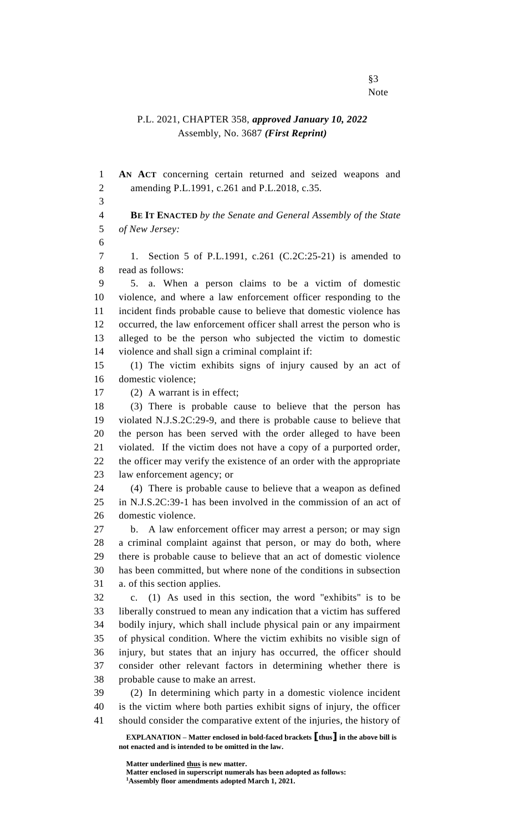## §3 Note

## P.L. 2021, CHAPTER 358, *approved January 10, 2022* Assembly, No. 3687 *(First Reprint)*

 **AN ACT** concerning certain returned and seized weapons and amending P.L.1991, c.261 and P.L.2018, c.35. **BE IT ENACTED** *by the Senate and General Assembly of the State of New Jersey:* 1. Section 5 of P.L.1991, c.261 (C.2C:25-21) is amended to read as follows: 5. a. When a person claims to be a victim of domestic violence, and where a law enforcement officer responding to the incident finds probable cause to believe that domestic violence has occurred, the law enforcement officer shall arrest the person who is alleged to be the person who subjected the victim to domestic violence and shall sign a criminal complaint if: (1) The victim exhibits signs of injury caused by an act of domestic violence; (2) A warrant is in effect; (3) There is probable cause to believe that the person has violated N.J.S.2C:29-9, and there is probable cause to believe that the person has been served with the order alleged to have been violated. If the victim does not have a copy of a purported order, the officer may verify the existence of an order with the appropriate law enforcement agency; or (4) There is probable cause to believe that a weapon as defined in N.J.S.2C:39-1 has been involved in the commission of an act of domestic violence. b. A law enforcement officer may arrest a person; or may sign a criminal complaint against that person, or may do both, where there is probable cause to believe that an act of domestic violence has been committed, but where none of the conditions in subsection a. of this section applies. c. (1) As used in this section, the word "exhibits" is to be liberally construed to mean any indication that a victim has suffered bodily injury, which shall include physical pain or any impairment of physical condition. Where the victim exhibits no visible sign of injury, but states that an injury has occurred, the officer should consider other relevant factors in determining whether there is probable cause to make an arrest. (2) In determining which party in a domestic violence incident is the victim where both parties exhibit signs of injury, the officer should consider the comparative extent of the injuries, the history of

**EXPLANATION – Matter enclosed in bold-faced brackets [thus] in the above bill is not enacted and is intended to be omitted in the law.**

**Matter enclosed in superscript numerals has been adopted as follows: Assembly floor amendments adopted March 1, 2021.**

**Matter underlined thus is new matter.**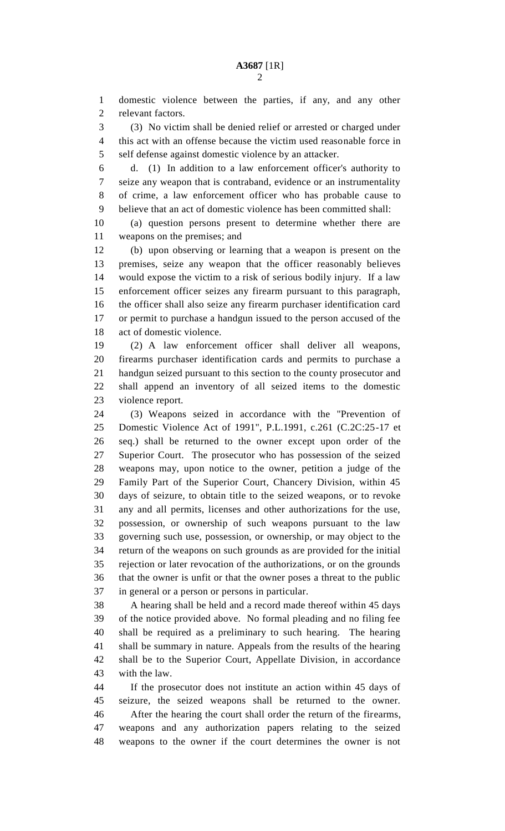domestic violence between the parties, if any, and any other relevant factors.

 (3) No victim shall be denied relief or arrested or charged under this act with an offense because the victim used reasonable force in self defense against domestic violence by an attacker.

 d. (1) In addition to a law enforcement officer's authority to seize any weapon that is contraband, evidence or an instrumentality of crime, a law enforcement officer who has probable cause to believe that an act of domestic violence has been committed shall:

 (a) question persons present to determine whether there are weapons on the premises; and

 (b) upon observing or learning that a weapon is present on the premises, seize any weapon that the officer reasonably believes would expose the victim to a risk of serious bodily injury. If a law enforcement officer seizes any firearm pursuant to this paragraph, the officer shall also seize any firearm purchaser identification card or permit to purchase a handgun issued to the person accused of the act of domestic violence.

 (2) A law enforcement officer shall deliver all weapons, firearms purchaser identification cards and permits to purchase a handgun seized pursuant to this section to the county prosecutor and shall append an inventory of all seized items to the domestic violence report.

 (3) Weapons seized in accordance with the "Prevention of Domestic Violence Act of 1991", P.L.1991, c.261 (C.2C:25-17 et seq.) shall be returned to the owner except upon order of the Superior Court. The prosecutor who has possession of the seized weapons may, upon notice to the owner, petition a judge of the Family Part of the Superior Court, Chancery Division, within 45 days of seizure, to obtain title to the seized weapons, or to revoke any and all permits, licenses and other authorizations for the use, possession, or ownership of such weapons pursuant to the law governing such use, possession, or ownership, or may object to the return of the weapons on such grounds as are provided for the initial rejection or later revocation of the authorizations, or on the grounds that the owner is unfit or that the owner poses a threat to the public in general or a person or persons in particular.

 A hearing shall be held and a record made thereof within 45 days of the notice provided above. No formal pleading and no filing fee shall be required as a preliminary to such hearing. The hearing shall be summary in nature. Appeals from the results of the hearing shall be to the Superior Court, Appellate Division, in accordance with the law.

 If the prosecutor does not institute an action within 45 days of seizure, the seized weapons shall be returned to the owner. After the hearing the court shall order the return of the firearms, weapons and any authorization papers relating to the seized weapons to the owner if the court determines the owner is not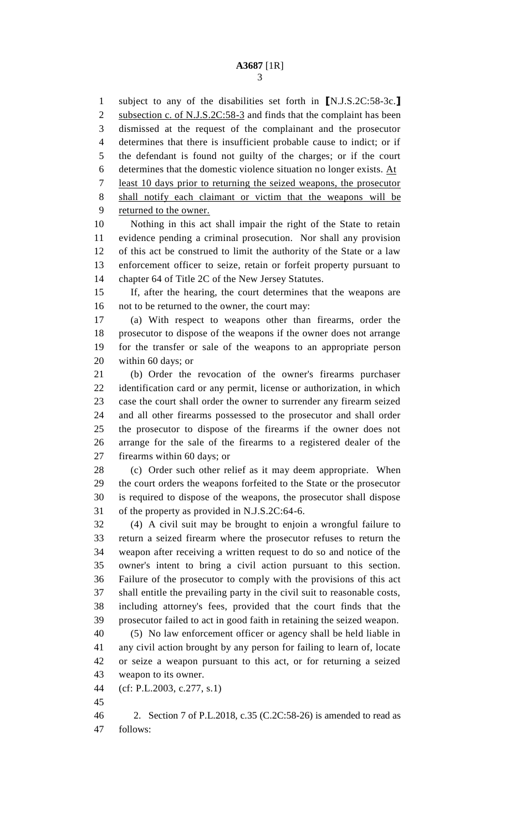subject to any of the disabilities set forth in **[**N.J.S.2C:58-3c.**]** subsection c. of N.J.S.2C:58-3 and finds that the complaint has been dismissed at the request of the complainant and the prosecutor determines that there is insufficient probable cause to indict; or if the defendant is found not guilty of the charges; or if the court 6 determines that the domestic violence situation no longer exists.  $At$  least 10 days prior to returning the seized weapons, the prosecutor 8 shall notify each claimant or victim that the weapons will be returned to the owner.

 Nothing in this act shall impair the right of the State to retain evidence pending a criminal prosecution. Nor shall any provision of this act be construed to limit the authority of the State or a law enforcement officer to seize, retain or forfeit property pursuant to chapter 64 of Title 2C of the New Jersey Statutes.

 If, after the hearing, the court determines that the weapons are not to be returned to the owner, the court may:

 (a) With respect to weapons other than firearms, order the prosecutor to dispose of the weapons if the owner does not arrange for the transfer or sale of the weapons to an appropriate person within 60 days; or

 (b) Order the revocation of the owner's firearms purchaser identification card or any permit, license or authorization, in which case the court shall order the owner to surrender any firearm seized and all other firearms possessed to the prosecutor and shall order the prosecutor to dispose of the firearms if the owner does not arrange for the sale of the firearms to a registered dealer of the firearms within 60 days; or

 (c) Order such other relief as it may deem appropriate. When the court orders the weapons forfeited to the State or the prosecutor is required to dispose of the weapons, the prosecutor shall dispose of the property as provided in N.J.S.2C:64-6.

 (4) A civil suit may be brought to enjoin a wrongful failure to return a seized firearm where the prosecutor refuses to return the weapon after receiving a written request to do so and notice of the owner's intent to bring a civil action pursuant to this section. Failure of the prosecutor to comply with the provisions of this act shall entitle the prevailing party in the civil suit to reasonable costs, including attorney's fees, provided that the court finds that the prosecutor failed to act in good faith in retaining the seized weapon. (5) No law enforcement officer or agency shall be held liable in any civil action brought by any person for failing to learn of, locate or seize a weapon pursuant to this act, or for returning a seized

- weapon to its owner.
- (cf: P.L.2003, c.277, s.1)
- 

 2. Section 7 of P.L.2018, c.35 (C.2C:58-26) is amended to read as follows: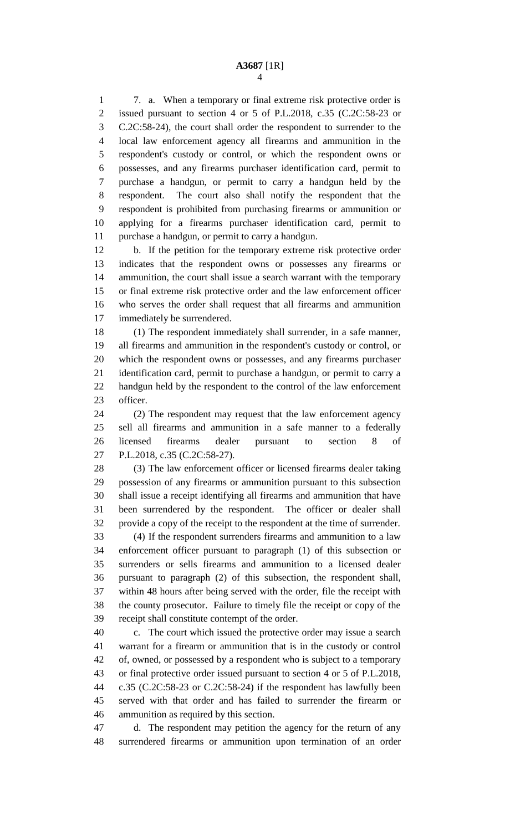7. a. When a temporary or final extreme risk protective order is issued pursuant to section 4 or 5 of P.L.2018, c.35 (C.2C:58-23 or C.2C:58-24), the court shall order the respondent to surrender to the local law enforcement agency all firearms and ammunition in the respondent's custody or control, or which the respondent owns or possesses, and any firearms purchaser identification card, permit to purchase a handgun, or permit to carry a handgun held by the respondent. The court also shall notify the respondent that the respondent is prohibited from purchasing firearms or ammunition or applying for a firearms purchaser identification card, permit to purchase a handgun, or permit to carry a handgun.

 b. If the petition for the temporary extreme risk protective order indicates that the respondent owns or possesses any firearms or ammunition, the court shall issue a search warrant with the temporary or final extreme risk protective order and the law enforcement officer who serves the order shall request that all firearms and ammunition immediately be surrendered.

 (1) The respondent immediately shall surrender, in a safe manner, all firearms and ammunition in the respondent's custody or control, or which the respondent owns or possesses, and any firearms purchaser identification card, permit to purchase a handgun, or permit to carry a handgun held by the respondent to the control of the law enforcement officer.

 (2) The respondent may request that the law enforcement agency sell all firearms and ammunition in a safe manner to a federally licensed firearms dealer pursuant to section 8 of P.L.2018, c.35 (C.2C:58-27).

 (3) The law enforcement officer or licensed firearms dealer taking possession of any firearms or ammunition pursuant to this subsection shall issue a receipt identifying all firearms and ammunition that have been surrendered by the respondent. The officer or dealer shall provide a copy of the receipt to the respondent at the time of surrender. (4) If the respondent surrenders firearms and ammunition to a law enforcement officer pursuant to paragraph (1) of this subsection or surrenders or sells firearms and ammunition to a licensed dealer pursuant to paragraph (2) of this subsection, the respondent shall, within 48 hours after being served with the order, file the receipt with the county prosecutor. Failure to timely file the receipt or copy of the receipt shall constitute contempt of the order.

 c. The court which issued the protective order may issue a search warrant for a firearm or ammunition that is in the custody or control of, owned, or possessed by a respondent who is subject to a temporary or final protective order issued pursuant to section 4 or 5 of P.L.2018, c.35 (C.2C:58-23 or C.2C:58-24) if the respondent has lawfully been served with that order and has failed to surrender the firearm or ammunition as required by this section.

 d. The respondent may petition the agency for the return of any surrendered firearms or ammunition upon termination of an order